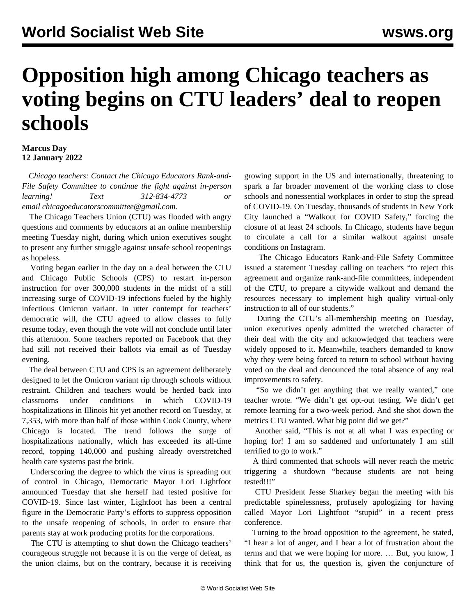## **Opposition high among Chicago teachers as voting begins on CTU leaders' deal to reopen schools**

## **Marcus Day 12 January 2022**

 *Chicago teachers: Contact the Chicago Educators Rank-and-File Safety Committee to continue the fight against in-person learning! Text 312-834-4773 or email [chicagoeducatorscommittee@gmail.com.](mailto:chicagoeducatorscommittee@gmail.com)*

 The Chicago Teachers Union (CTU) was flooded with angry questions and comments by educators at an online membership meeting Tuesday night, during which union executives sought to present any further struggle against unsafe school reopenings as hopeless.

 Voting began earlier in the day on a deal between the CTU and Chicago Public Schools (CPS) to restart in-person instruction for over 300,000 students in the midst of a still increasing surge of COVID-19 infections fueled by the highly infectious Omicron variant. In utter contempt for teachers' democratic will, the CTU agreed to allow classes to fully resume today, even though the vote will not conclude until later this afternoon. Some teachers reported on Facebook that they had still not received their ballots via email as of Tuesday evening.

 The deal between CTU and CPS is an agreement deliberately designed to let the Omicron variant rip through schools without restraint. Children and teachers would be herded back into classrooms under conditions in which COVID-19 hospitalizations in Illinois hit yet another record on Tuesday, at 7,353, with more than half of those within Cook County, where Chicago is located. The trend follows the surge of hospitalizations nationally, which has exceeded its all-time record, topping 140,000 and pushing already overstretched health care systems past the brink.

 Underscoring the degree to which the virus is spreading out of control in Chicago, Democratic Mayor Lori Lightfoot announced Tuesday that she herself had tested positive for COVID-19. Since last winter, Lightfoot has been a central figure in the Democratic Party's efforts to suppress opposition to the unsafe reopening of schools, in order to ensure that parents stay at work producing profits for the corporations.

 The CTU is attempting to shut down the Chicago teachers' courageous struggle not because it is on the verge of defeat, as the union claims, but on the contrary, because it is receiving

growing support in the US and internationally, threatening to spark a far broader movement of the working class to close schools and nonessential workplaces in order to stop the spread of COVID-19. On Tuesday, thousands of students in New York City launched a "Walkout for COVID Safety," forcing the closure of at least 24 schools. In Chicago, students have begun to circulate a call for a similar walkout against unsafe conditions on Instagram.

 The [Chicago Educators Rank-and-File Safety Committee](/en/articles/2022/01/11/chi1-j11.html) [issued a statement](/en/articles/2022/01/11/chi1-j11.html) Tuesday calling on teachers "to reject this agreement and organize rank-and-file committees, independent of the CTU, to prepare a citywide walkout and demand the resources necessary to implement high quality virtual-only instruction to all of our students."

 During the CTU's all-membership meeting on Tuesday, union executives openly admitted the wretched character of their deal with the city and acknowledged that teachers were widely opposed to it. Meanwhile, teachers demanded to know why they were being forced to return to school without having voted on the deal and denounced the total absence of any real improvements to safety.

 "So we didn't get anything that we really wanted," one teacher wrote. "We didn't get opt-out testing. We didn't get remote learning for a two-week period. And she shot down the metrics CTU wanted. What big point did we get?"

 Another said, "This is not at all what I was expecting or hoping for! I am so saddened and unfortunately I am still terrified to go to work."

 A third commented that schools will never reach the metric triggering a shutdown "because students are not being tested!!!"

 CTU President Jesse Sharkey began the meeting with his predictable spinelessness, profusely apologizing for having called Mayor Lori Lightfoot "stupid" in a recent press conference.

 Turning to the broad opposition to the agreement, he stated, "I hear a lot of anger, and I hear a lot of frustration about the terms and that we were hoping for more. … But, you know, I think that for us, the question is, given the conjuncture of